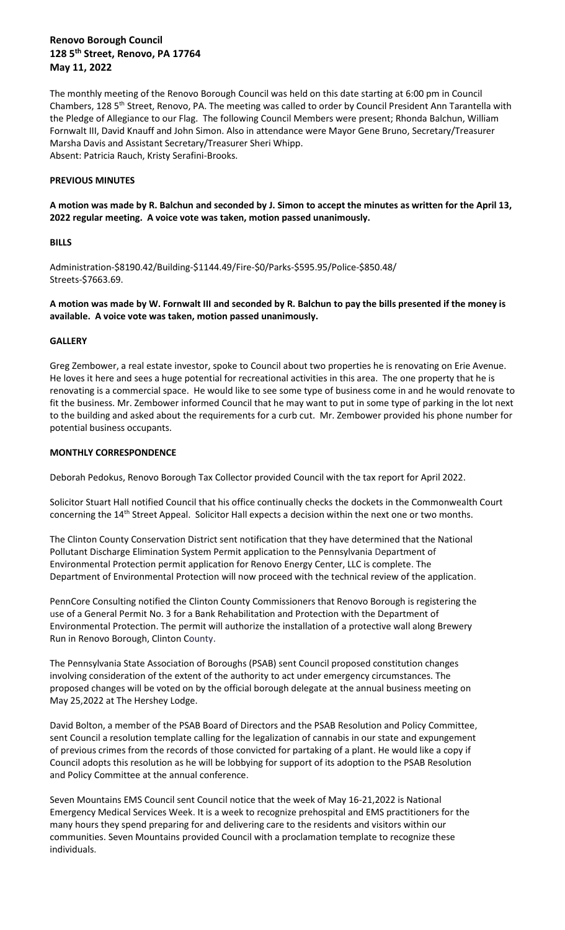# **Renovo Borough Council 128 5th Street, Renovo, PA 17764 May 11, 2022**

The monthly meeting of the Renovo Borough Council was held on this date starting at 6:00 pm in Council Chambers, 128 5<sup>th</sup> Street, Renovo, PA. The meeting was called to order by Council President Ann Tarantella with the Pledge of Allegiance to our Flag. The following Council Members were present; Rhonda Balchun, William Fornwalt III, David Knauff and John Simon. Also in attendance were Mayor Gene Bruno, Secretary/Treasurer Marsha Davis and Assistant Secretary/Treasurer Sheri Whipp. Absent: Patricia Rauch, Kristy Serafini-Brooks.

## **PREVIOUS MINUTES**

**A motion was made by R. Balchun and seconded by J. Simon to accept the minutes as written for the April 13, 2022 regular meeting. A voice vote was taken, motion passed unanimously.**

# **BILLS**

Administration-\$8190.42/Building-\$1144.49/Fire-\$0/Parks-\$595.95/Police-\$850.48/ Streets-\$7663.69.

**A motion was made by W. Fornwalt III and seconded by R. Balchun to pay the bills presented if the money is available. A voice vote was taken, motion passed unanimously.**

# **GALLERY**

Greg Zembower, a real estate investor, spoke to Council about two properties he is renovating on Erie Avenue. He loves it here and sees a huge potential for recreational activities in this area. The one property that he is renovating is a commercial space. He would like to see some type of business come in and he would renovate to fit the business. Mr. Zembower informed Council that he may want to put in some type of parking in the lot next to the building and asked about the requirements for a curb cut. Mr. Zembower provided his phone number for potential business occupants.

# **MONTHLY CORRESPONDENCE**

Deborah Pedokus, Renovo Borough Tax Collector provided Council with the tax report for April 2022.

Solicitor Stuart Hall notified Council that his office continually checks the dockets in the Commonwealth Court concerning the 14<sup>th</sup> Street Appeal. Solicitor Hall expects a decision within the next one or two months.

The Clinton County Conservation District sent notification that they have determined that the National Pollutant Discharge Elimination System Permit application to the Pennsylvania Department of Environmental Protection permit application for Renovo Energy Center, LLC is complete. The Department of Environmental Protection will now proceed with the technical review of the application.

PennCore Consulting notified the Clinton County Commissioners that Renovo Borough is registering the use of a General Permit No. 3 for a Bank Rehabilitation and Protection with the Department of Environmental Protection. The permit will authorize the installation of a protective wall along Brewery Run in Renovo Borough, Clinton County.

The Pennsylvania State Association of Boroughs (PSAB) sent Council proposed constitution changes involving consideration of the extent of the authority to act under emergency circumstances. The proposed changes will be voted on by the official borough delegate at the annual business meeting on May 25,2022 at The Hershey Lodge.

David Bolton, a member of the PSAB Board of Directors and the PSAB Resolution and Policy Committee, sent Council a resolution template calling for the legalization of cannabis in our state and expungement of previous crimes from the records of those convicted for partaking of a plant. He would like a copy if Council adopts this resolution as he will be lobbying for support of its adoption to the PSAB Resolution and Policy Committee at the annual conference.

Seven Mountains EMS Council sent Council notice that the week of May 16-21,2022 is National Emergency Medical Services Week. It is a week to recognize prehospital and EMS practitioners for the many hours they spend preparing for and delivering care to the residents and visitors within our communities. Seven Mountains provided Council with a proclamation template to recognize these individuals.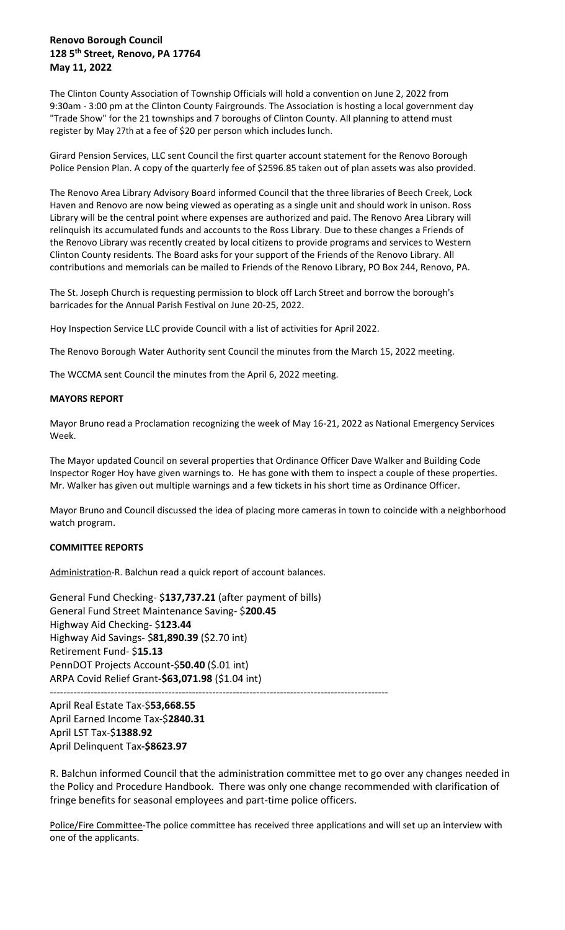# **Renovo Borough Council 128 5th Street, Renovo, PA 17764 May 11, 2022**

The Clinton County Association of Township Officials will hold a convention on June 2, 2022 from 9:30am - 3:00 pm at the Clinton County Fairgrounds. The Association is hosting a local government day "Trade Show" for the 21 townships and 7 boroughs of Clinton County. All planning to attend must register by May 27th at a fee of \$20 per person which includes lunch.

Girard Pension Services, LLC sent Council the first quarter account statement for the Renovo Borough Police Pension Plan. A copy of the quarterly fee of \$2596.85 taken out of plan assets was also provided.

The Renovo Area Library Advisory Board informed Council that the three libraries of Beech Creek, Lock Haven and Renovo are now being viewed as operating as a single unit and should work in unison. Ross Library will be the central point where expenses are authorized and paid. The Renovo Area Library will relinquish its accumulated funds and accounts to the Ross Library. Due to these changes a Friends of the Renovo Library was recently created by local citizens to provide programs and services to Western Clinton County residents. The Board asks for your support of the Friends of the Renovo Library. All contributions and memorials can be mailed to Friends of the Renovo Library, PO Box 244, Renovo, PA.

The St. Joseph Church is requesting permission to block off Larch Street and borrow the borough's barricades for the Annual Parish Festival on June 20-25, 2022.

Hoy Inspection Service LLC provide Council with a list of activities for April 2022.

The Renovo Borough Water Authority sent Council the minutes from the March 15, 2022 meeting.

The WCCMA sent Council the minutes from the April 6, 2022 meeting.

### **MAYORS REPORT**

Mayor Bruno read a Proclamation recognizing the week of May 16-21, 2022 as National Emergency Services Week.

The Mayor updated Council on several properties that Ordinance Officer Dave Walker and Building Code Inspector Roger Hoy have given warnings to. He has gone with them to inspect a couple of these properties. Mr. Walker has given out multiple warnings and a few tickets in his short time as Ordinance Officer.

Mayor Bruno and Council discussed the idea of placing more cameras in town to coincide with a neighborhood watch program.

### **COMMITTEE REPORTS**

Administration-R. Balchun read a quick report of account balances.

General Fund Checking- \$**137,737.21** (after payment of bills) General Fund Street Maintenance Saving- \$**200.45** Highway Aid Checking- \$**123.44** Highway Aid Savings- \$**81,890.39** (\$2.70 int) Retirement Fund- \$**15.13**  PennDOT Projects Account-\$**50.40** (\$.01 int) ARPA Covid Relief Grant**-\$63,071.98** (\$1.04 int) ----------------------------------------------------------------------------------------------------

April Real Estate Tax-\$**53,668.55** April Earned Income Tax-\$**2840.31** April LST Tax-\$**1388.92** April Delinquent Tax**-\$8623.97**

R. Balchun informed Council that the administration committee met to go over any changes needed in the Policy and Procedure Handbook. There was only one change recommended with clarification of fringe benefits for seasonal employees and part-time police officers.

Police/Fire Committee-The police committee has received three applications and will set up an interview with one of the applicants.